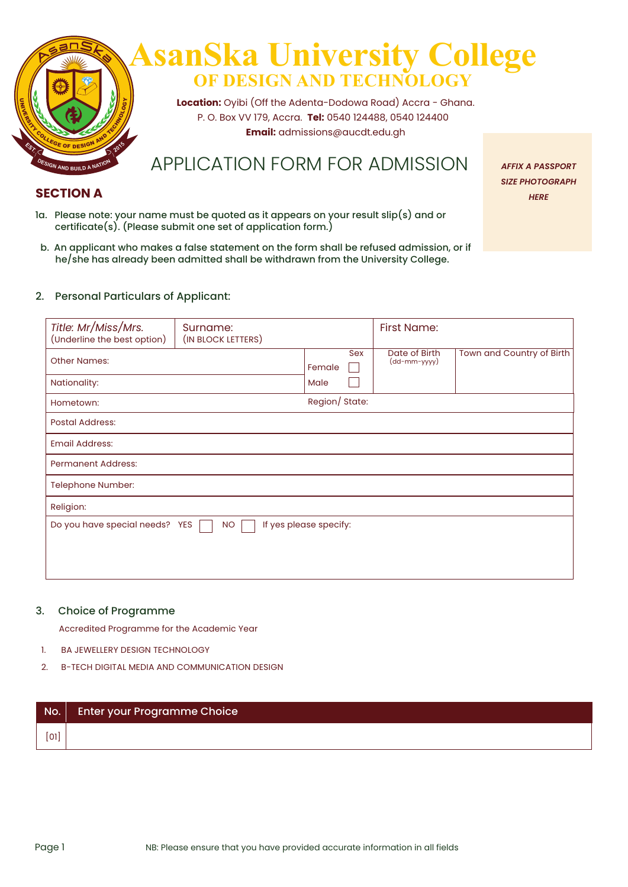

## **SECTION A** *HERE*

- 1a. Please note: your name must be quoted as it appears on your result slip(s) and or certificate(s). (Please submit one set of application form.)
- b. An applicant who makes a false statement on the form shall be refused admission, or if he/she has already been admitted shall be withdrawn from the University College.

#### 2. Personal Particulars of Applicant:

| Title: Mr/Miss/Mrs.<br>(Underline the best option) | Surname:<br>(IN BLOCK LETTERS) |                        |     | First Name:                   |                           |
|----------------------------------------------------|--------------------------------|------------------------|-----|-------------------------------|---------------------------|
| <b>Other Names:</b>                                |                                | Female                 | Sex | Date of Birth<br>(dd-mm-yyyy) | Town and Country of Birth |
| Nationality:                                       |                                | Male                   |     |                               |                           |
| Hometown:                                          |                                | Region/ State:         |     |                               |                           |
| <b>Postal Address:</b>                             |                                |                        |     |                               |                           |
| <b>Email Address:</b>                              |                                |                        |     |                               |                           |
| <b>Permanent Address:</b>                          |                                |                        |     |                               |                           |
| Telephone Number:                                  |                                |                        |     |                               |                           |
| Religion:                                          |                                |                        |     |                               |                           |
| Do you have special needs? YES                     | <b>NO</b>                      | If yes please specify: |     |                               |                           |

#### 3. Choice of Programme

Accredited Programme for the Academic Year

- 1. BA JEWELLERY DESIGN TECHNOLOGY
- 2. B-TECH DIGITAL MEDIA AND COMMUNICATION DESIGN

| $\vert$ No. $\vert$ | Enter your Programme Choice |
|---------------------|-----------------------------|
| [0]                 |                             |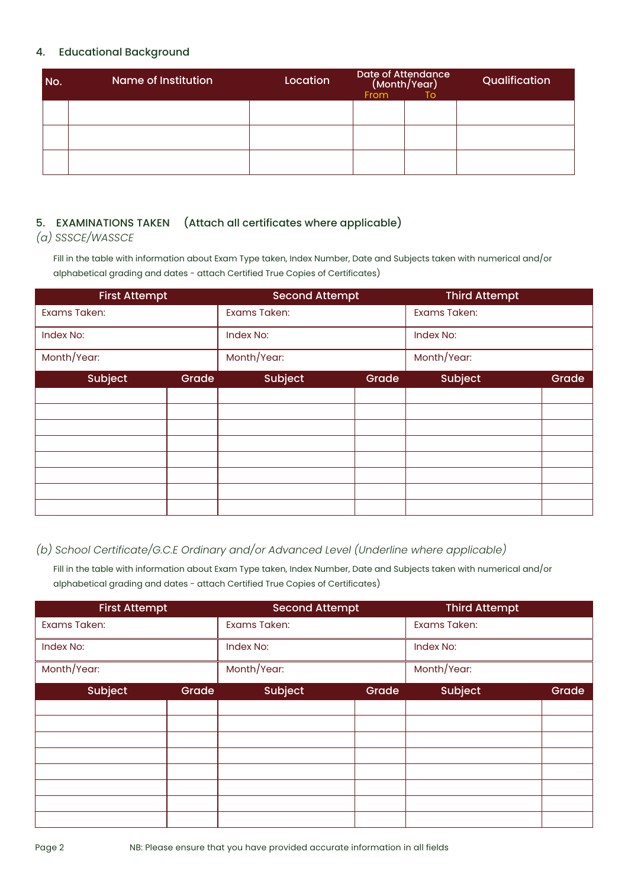#### 4. Educational Background

| No. | <b>Name of Institution</b> | Location | Date of Attendance<br><b>From</b> | (Month/Year)<br>To | Qualification |
|-----|----------------------------|----------|-----------------------------------|--------------------|---------------|
|     |                            |          |                                   |                    |               |
|     |                            |          |                                   |                    |               |
|     |                            |          |                                   |                    |               |

### 5. EXAMINATIONS TAKEN (Attach all certificates where applicable)

*(a) SSSCE/WASSCE*

Fill in the table with information about Exam Type taken, Index Number, Date and Subjects taken with numerical and/or alphabetical grading and dates - attach Certified True Copies of Certificates)

| <b>First Attempt</b> |       | <b>Second Attempt</b> |       | <b>Third Attempt</b> |       |
|----------------------|-------|-----------------------|-------|----------------------|-------|
| Exams Taken:         |       | Exams Taken:          |       | <b>Exams Taken:</b>  |       |
| Index No:            |       | Index No:             |       | Index No:            |       |
| Month/Year:          |       | Month/Year:           |       | Month/Year:          |       |
| Subject              | Grade | Subject               | Grade | Subject              | Grade |
|                      |       |                       |       |                      |       |
|                      |       |                       |       |                      |       |
|                      |       |                       |       |                      |       |
|                      |       |                       |       |                      |       |
|                      |       |                       |       |                      |       |
|                      |       |                       |       |                      |       |
|                      |       |                       |       |                      |       |
|                      |       |                       |       |                      |       |

## *(b) School Certificate/G.C.E Ordinary and/or Advanced Level (Underline where applicable)*

Fill in the table with information about Exam Type taken, Index Number, Date and Subjects taken with numerical and/or alphabetical grading and dates - attach Certified True Copies of Certificates)

| <b>First Attempt</b> |       | <b>Second Attempt</b> |       | <b>Third Attempt</b> |       |
|----------------------|-------|-----------------------|-------|----------------------|-------|
| Exams Taken:         |       | Exams Taken:          |       | Exams Taken:         |       |
| Index No:            |       | Index No:             |       | Index No:            |       |
| Month/Year:          |       | Month/Year:           |       | Month/Year:          |       |
| Subject              | Grade | Subject               | Grade | <b>Subject</b>       | Grade |
|                      |       |                       |       |                      |       |
|                      |       |                       |       |                      |       |
|                      |       |                       |       |                      |       |
|                      |       |                       |       |                      |       |
|                      |       |                       |       |                      |       |
|                      |       |                       |       |                      |       |
|                      |       |                       |       |                      |       |
|                      |       |                       |       |                      |       |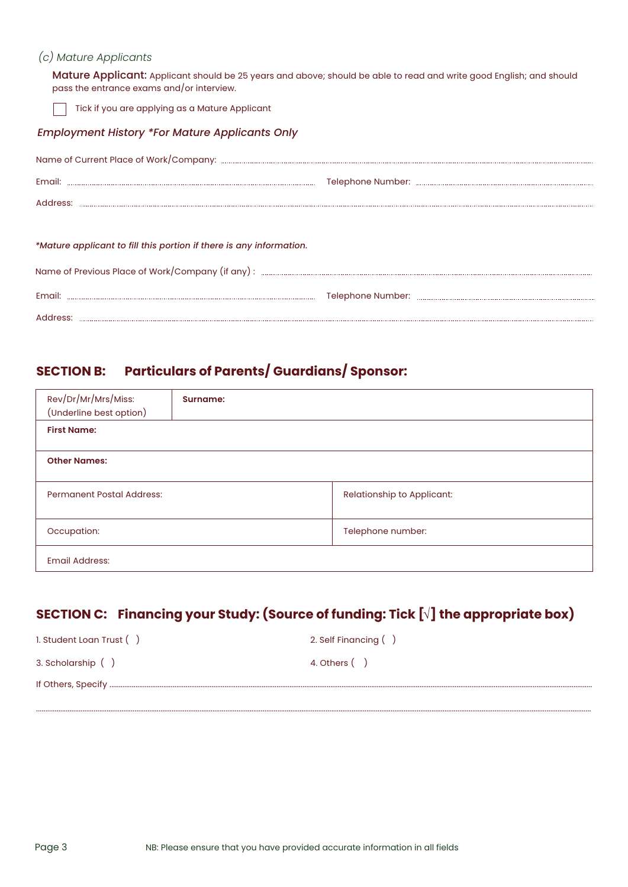#### *(c) Mature Applicants*

Mature Applicant: Applicant should be 25 years and above; should be able to read and write good English; and should pass the entrance exams and/or interview.

Tick if you are applying as a Mature Applicant

#### *Employment History \*For Mature Applicants Only*

| *Mature applicant to fill this portion if there is any information. |  |
|---------------------------------------------------------------------|--|
|                                                                     |  |

# **SECTION B: Particulars of Parents/ Guardians/ Sponsor:**

Telephone Number: Email:

Address:

| Rev/Dr/Mr/Mrs/Miss:<br>(Underline best option) | Surname: |                            |
|------------------------------------------------|----------|----------------------------|
| <b>First Name:</b>                             |          |                            |
| <b>Other Names:</b>                            |          |                            |
| <b>Permanent Postal Address:</b>               |          | Relationship to Applicant: |
| Occupation:                                    |          | Telephone number:          |
| <b>Email Address:</b>                          |          |                            |

# **SECTION C: Financing your Study: (Source of funding: Tick [ ] the appropriate box) √**

...........................................................................................................................................................................................................................................................................................................

| 1. Student Loan Trust () | 2. Self Financing () |
|--------------------------|----------------------|
| 3. Scholarship ()        | 4. Others ()         |
|                          |                      |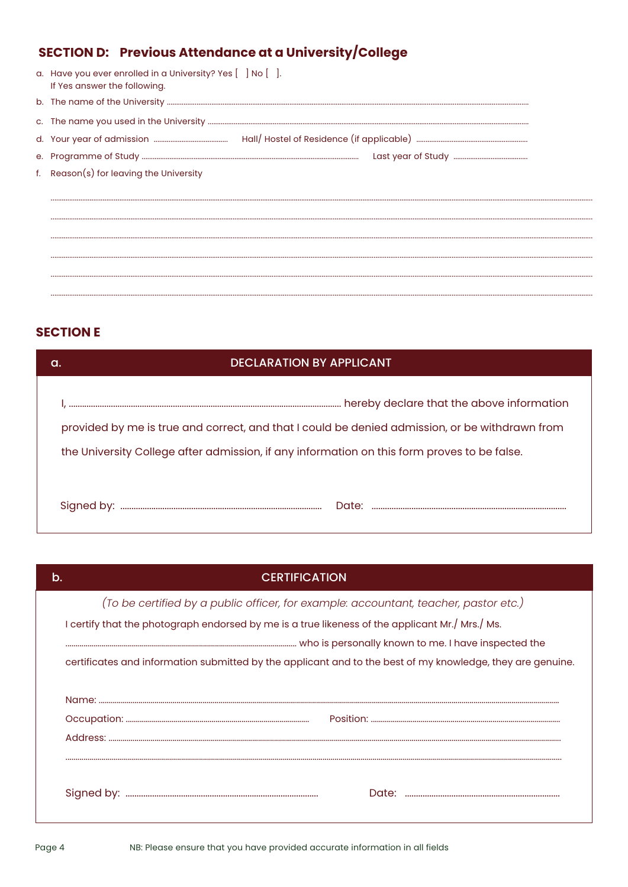# **SECTION D: Previous Attendance at a University/College**

| a. Have you ever enrolled in a University? Yes [ ] No [ ].<br>If Yes answer the following. |
|--------------------------------------------------------------------------------------------|
|                                                                                            |
|                                                                                            |
|                                                                                            |
|                                                                                            |
| f. Reason(s) for leaving the University                                                    |
|                                                                                            |
|                                                                                            |
|                                                                                            |
|                                                                                            |
|                                                                                            |
|                                                                                            |

## **SECTION E**

| <b>DECLARATION BY APPLICANT</b><br>a.                                                                                                                                                         |  |
|-----------------------------------------------------------------------------------------------------------------------------------------------------------------------------------------------|--|
| provided by me is true and correct, and that I could be denied admission, or be withdrawn from<br>the University College after admission, if any information on this form proves to be false. |  |
| Date:                                                                                                                                                                                         |  |

| b. | <b>CERTIFICATION</b>                                                                                       |
|----|------------------------------------------------------------------------------------------------------------|
|    | (To be certified by a public officer, for example: accountant, teacher, pastor etc.)                       |
|    | I certify that the photograph endorsed by me is a true likeness of the applicant Mr./ Mrs./ Ms.            |
|    |                                                                                                            |
|    | certificates and information submitted by the applicant and to the best of my knowledge, they are genuine. |
|    |                                                                                                            |
|    |                                                                                                            |
|    |                                                                                                            |
|    |                                                                                                            |
|    |                                                                                                            |
|    |                                                                                                            |
|    |                                                                                                            |
|    |                                                                                                            |